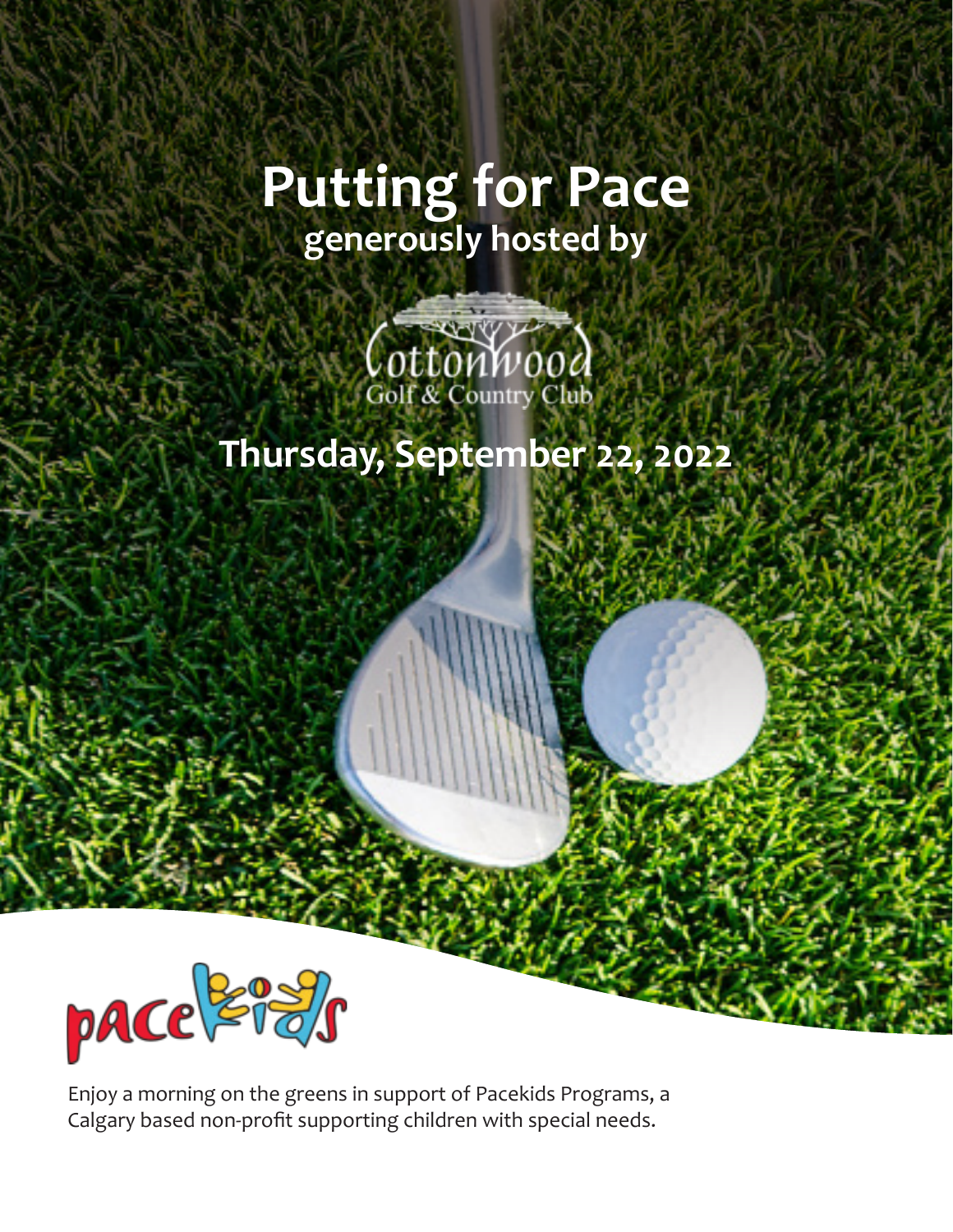# **Putting for Pace generously hosted by**



## **Thursday, September 22, 2022**



Enjoy a morning on the greens in support of Pacekids Programs, a Calgary based non-profit supporting children with special needs.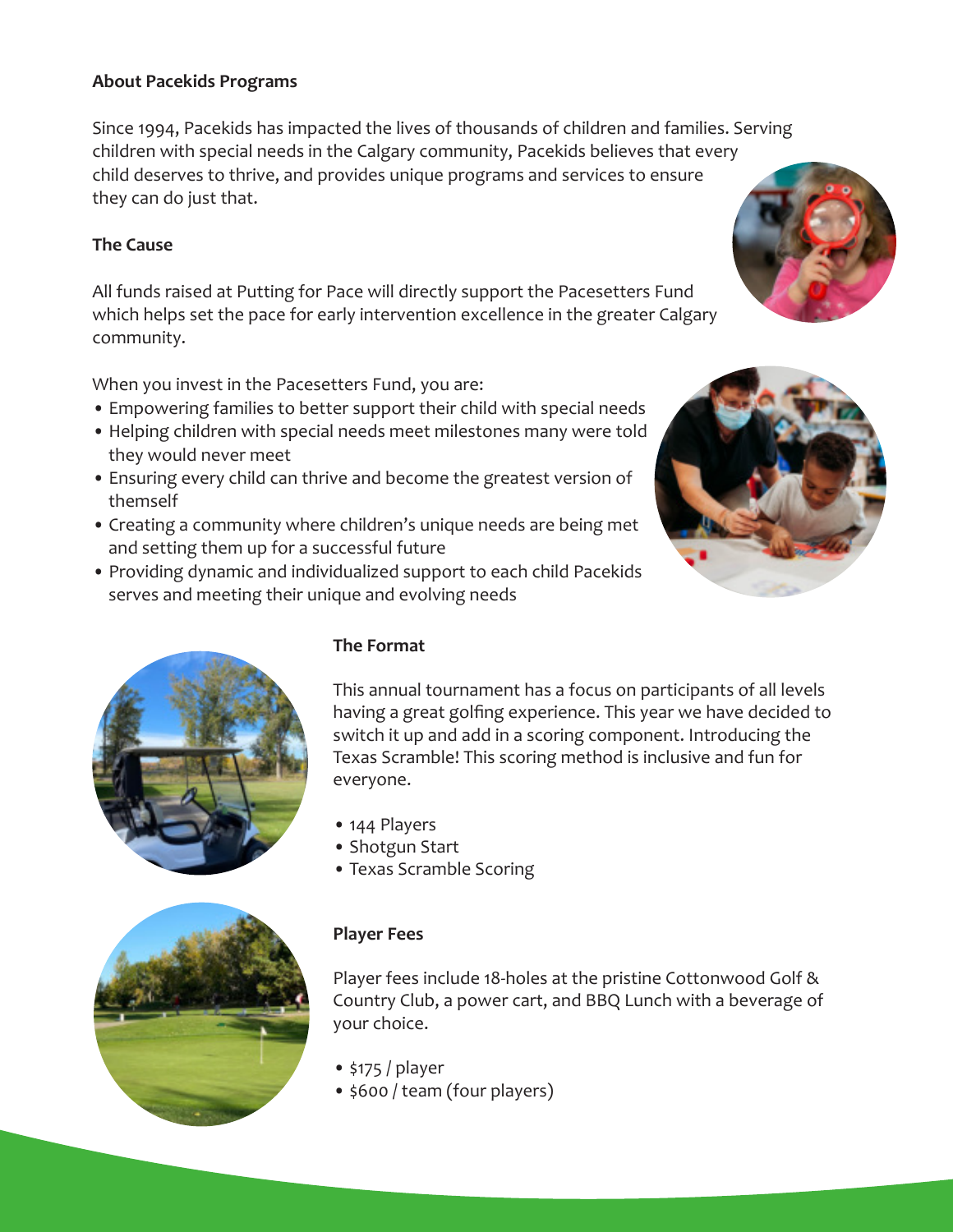#### **About Pacekids Programs**

Since 1994, Pacekids has impacted the lives of thousands of children and families. Serving children with special needs in the Calgary community, Pacekids believes that every child deserves to thrive, and provides unique programs and services to ensure they can do just that.

#### **The Cause**

All funds raised at Putting for Pace will directly support the Pacesetters Fund which helps set the pace for early intervention excellence in the greater Calgary community.

When you invest in the Pacesetters Fund, you are:

- Empowering families to better support their child with special needs
- Helping children with special needs meet milestones many were told they would never meet
- Ensuring every child can thrive and become the greatest version of themself
- Creating a community where children's unique needs are being met and setting them up for a successful future
- Providing dynamic and individualized support to each child Pacekids serves and meeting their unique and evolving needs



#### **The Format**

This annual tournament has a focus on participants of all levels having a great golfing experience. This year we have decided to switch it up and add in a scoring component. Introducing the Texas Scramble! This scoring method is inclusive and fun for everyone.

- 144 Players
- Shotgun Start
- Texas Scramble Scoring



#### **Player Fees**

Player fees include 18-holes at the pristine Cottonwood Golf & Country Club, a power cart, and BBQ Lunch with a beverage of your choice.

- \$175 / player
- \$600 / team (four players)



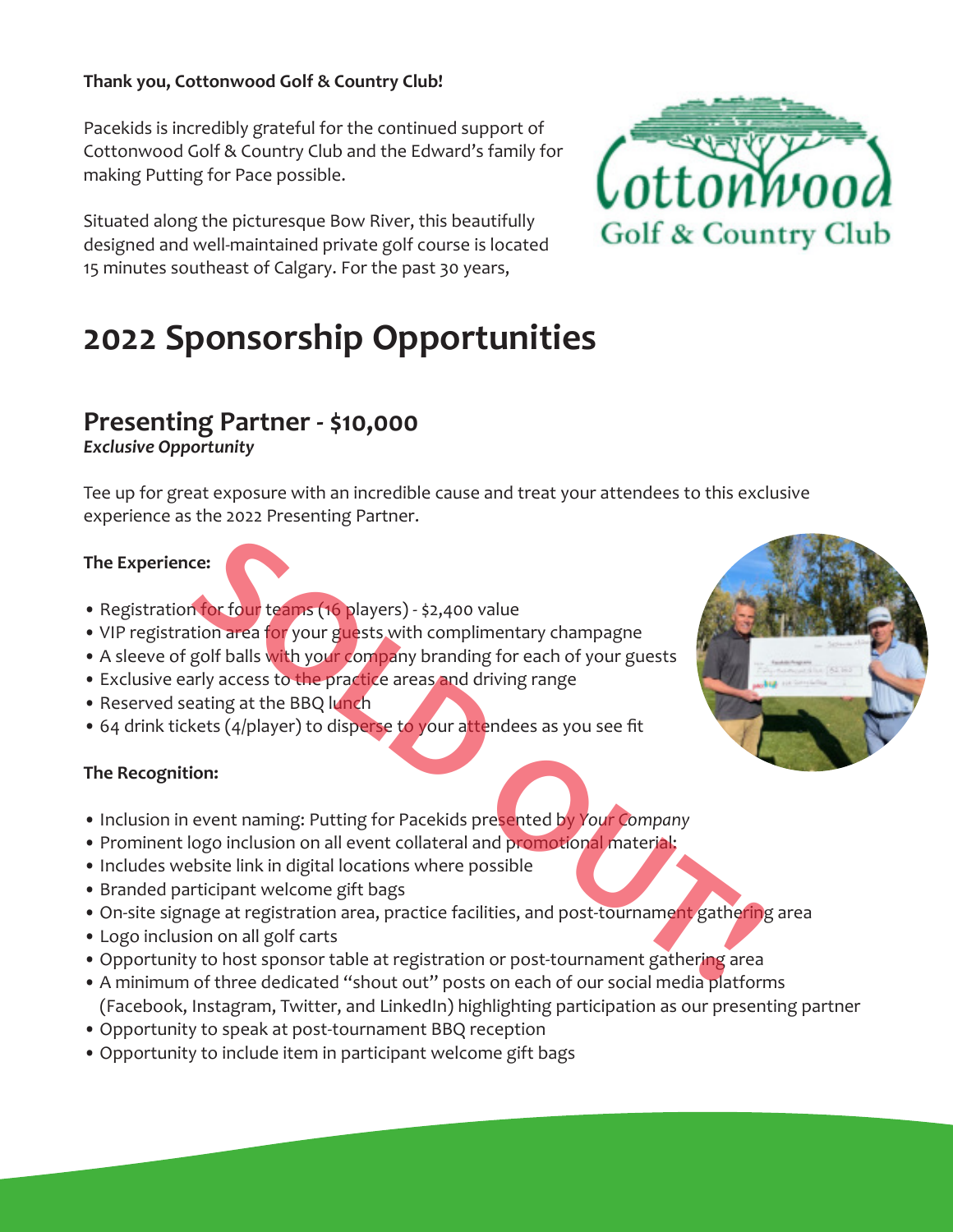#### **Thank you, Cottonwood Golf & Country Club!**

Pacekids is incredibly grateful for the continued support of Cottonwood Golf & Country Club and the Edward's family for making Putting for Pace possible.

Situated along the picturesque Bow River, this beautifully designed and well-maintained private golf course is located 15 minutes southeast of Calgary. For the past 30 years,



## **2022 Sponsorship Opportunities**

### **Presenting Partner - \$10,000**

*Exclusive Opportunity*

Tee up for great exposure with an incredible cause and treat your attendees to this exclusive experience as the 2022 Presenting Partner.

#### **The Experience:**

- Registration for four teams (16 players) \$2,400 value
- VIP registration area for your guests with complimentary champagne
- A sleeve of golf balls with your company branding for each of your guests
- Exclusive early access to the practice areas and driving range
- Reserved seating at the BBQ lunch
- 64 drink tickets (4/player) to disperse to your attendees as you see fit

#### **The Recognition:**

- Inclusion in event naming: Putting for Pacekids presented by *Your Company*
- Prominent logo inclusion on all event collateral and promotional material:
- Includes website link in digital locations where possible
- Branded participant welcome gift bags
- On-site signage at registration area, practice facilities, and post-tournament gathering area
- Logo inclusion on all golf carts
- Opportunity to host sponsor table at registration or post-tournament gathering area
- A minimum of three dedicated "shout out" posts on each of our social media platforms (Facebook, Instagram, Twitter, and LinkedIn) highlighting participation as our presenting partner
- Opportunity to speak at post-tournament BBQ reception
- Opportunity to include item in participant welcome gift bags

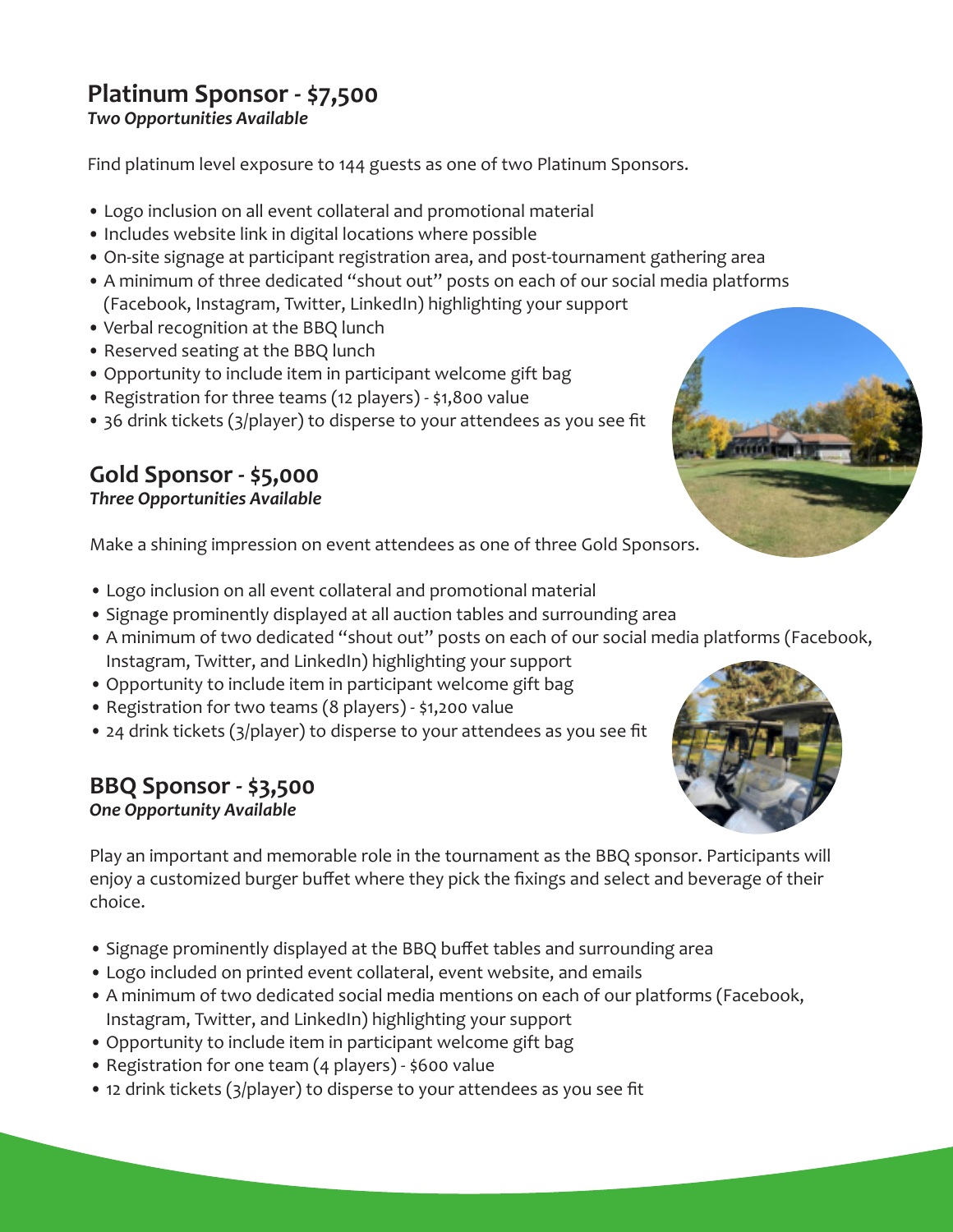## **Platinum Sponsor - \$7,500**

*Two Opportunities Available* 

Find platinum level exposure to 144 guests as one of two Platinum Sponsors.

- Logo inclusion on all event collateral and promotional material
- Includes website link in digital locations where possible
- On-site signage at participant registration area, and post-tournament gathering area
- A minimum of three dedicated "shout out" posts on each of our social media platforms (Facebook, Instagram, Twitter, LinkedIn) highlighting your support
- Verbal recognition at the BBQ lunch
- Reserved seating at the BBQ lunch
- Opportunity to include item in participant welcome gift bag
- Registration for three teams (12 players) \$1,800 value
- 36 drink tickets (3/player) to disperse to your attendees as you see fit

## **Gold Sponsor - \$5,000**

#### *Three Opportunities Available*

Make a shining impression on event attendees as one of three Gold Sponsors.

- Logo inclusion on all event collateral and promotional material
- Signage prominently displayed at all auction tables and surrounding area
- A minimum of two dedicated "shout out" posts on each of our social media platforms (Facebook, Instagram, Twitter, and LinkedIn) highlighting your support
- Opportunity to include item in participant welcome gift bag
- Registration for two teams (8 players) \$1,200 value
- 24 drink tickets (3/player) to disperse to your attendees as you see fit

## **BBQ Sponsor - \$3,500**

*One Opportunity Available*

Play an important and memorable role in the tournament as the BBQ sponsor. Participants will enjoy a customized burger buffet where they pick the fixings and select and beverage of their choice.

- Signage prominently displayed at the BBQ buffet tables and surrounding area
- Logo included on printed event collateral, event website, and emails
- A minimum of two dedicated social media mentions on each of our platforms (Facebook, Instagram, Twitter, and LinkedIn) highlighting your support
- Opportunity to include item in participant welcome gift bag
- Registration for one team (4 players) \$600 value
- 12 drink tickets (3/player) to disperse to your attendees as you see fit